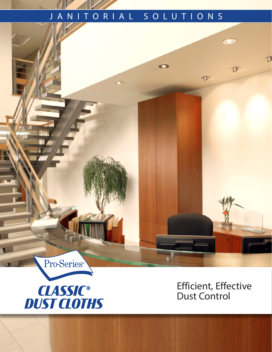## JANITORIAL SOLUTIONS

or m

 $\bullet$ 



Pro-Series®

Efficient, Effective Dust Control

 $\circ$ 

 $\mathbb{T}$ 

 $\mathbb{T}$ 

 $\overline{u}$